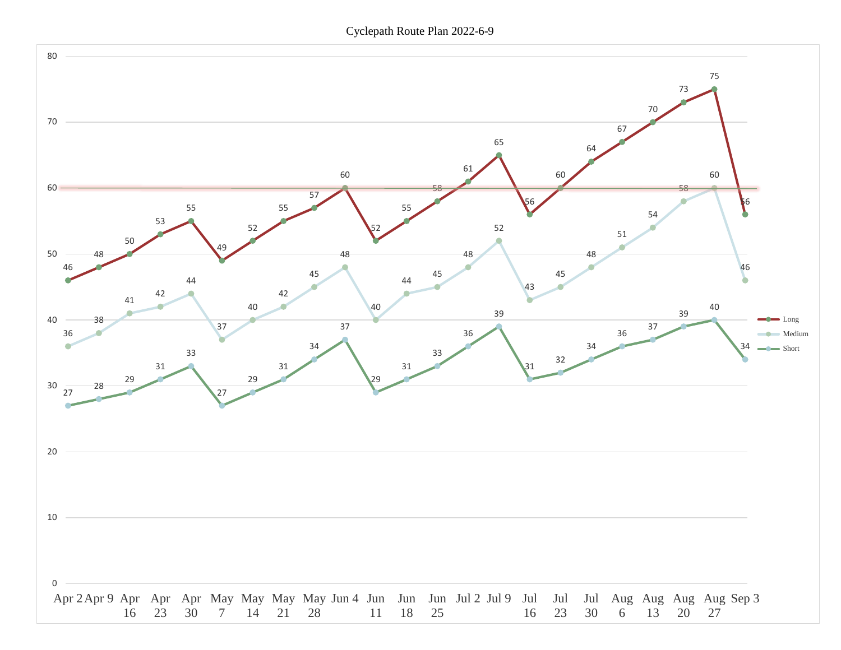Cyclepath Route Plan 2022-6-9

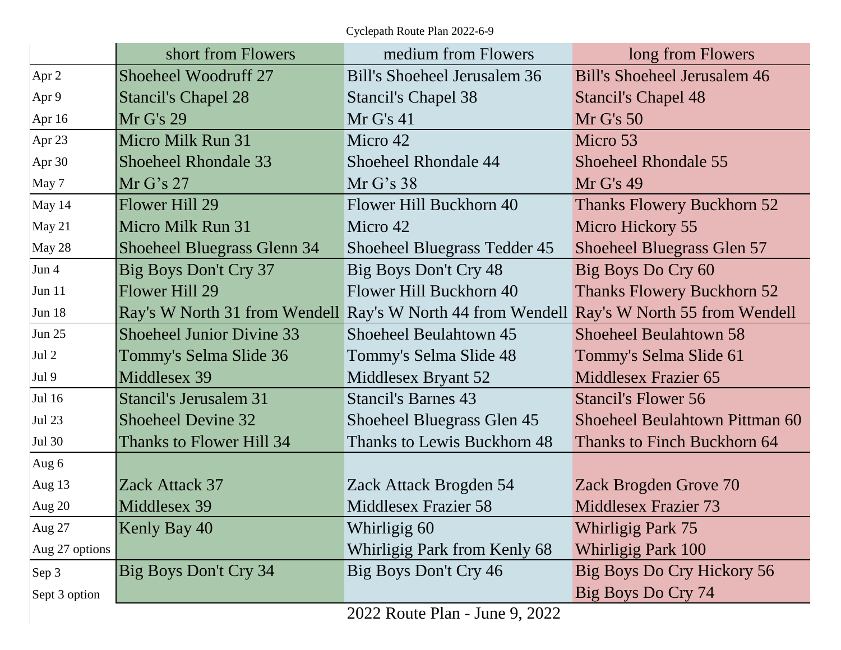Cyclepath Route Plan 2022-6-9

|                | short from Flowers                 | medium from Flowers                                                                       | long from Flowers                   |
|----------------|------------------------------------|-------------------------------------------------------------------------------------------|-------------------------------------|
| Apr 2          | Shoeheel Woodruff 27               | Bill's Shoeheel Jerusalem 36                                                              | <b>Bill's Shoeheel Jerusalem 46</b> |
| Apr 9          | <b>Stancil's Chapel 28</b>         | <b>Stancil's Chapel 38</b>                                                                | <b>Stancil's Chapel 48</b>          |
| Apr 16         | Mr G's 29                          | Mr G's 41                                                                                 | Mr G's 50                           |
| Apr 23         | Micro Milk Run 31                  | Micro 42                                                                                  | Micro 53                            |
| Apr 30         | <b>Shoeheel Rhondale 33</b>        | Shoeheel Rhondale 44                                                                      | <b>Shoeheel Rhondale 55</b>         |
| May 7          | Mr G's 27                          | Mr G's 38                                                                                 | Mr G's 49                           |
| May 14         | Flower Hill 29                     | Flower Hill Buckhorn 40                                                                   | <b>Thanks Flowery Buckhorn 52</b>   |
| May 21         | Micro Milk Run 31                  | Micro 42                                                                                  | Micro Hickory 55                    |
| May 28         | <b>Shoeheel Bluegrass Glenn 34</b> | Shoeheel Bluegrass Tedder 45                                                              | <b>Shoeheel Bluegrass Glen 57</b>   |
| Jun 4          | Big Boys Don't Cry 37              | Big Boys Don't Cry 48                                                                     | Big Boys Do Cry 60                  |
| Jun 11         | Flower Hill 29                     | Flower Hill Buckhorn 40                                                                   | <b>Thanks Flowery Buckhorn 52</b>   |
| <b>Jun 18</b>  |                                    | Ray's W North 31 from Wendell Ray's W North 44 from Wendell Ray's W North 55 from Wendell |                                     |
| <b>Jun 25</b>  | <b>Shoeheel Junior Divine 33</b>   | Shoeheel Beulahtown 45                                                                    | <b>Shoeheel Beulahtown 58</b>       |
| Jul 2          | Tommy's Selma Slide 36             | Tommy's Selma Slide 48                                                                    | Tommy's Selma Slide 61              |
| Jul 9          | Middlesex 39                       | Middlesex Bryant 52                                                                       | Middlesex Frazier 65                |
| Jul 16         | Stancil's Jerusalem 31             | <b>Stancil's Barnes 43</b>                                                                | <b>Stancil's Flower 56</b>          |
| <b>Jul 23</b>  | <b>Shoeheel Devine 32</b>          | Shoeheel Bluegrass Glen 45                                                                | Shoeheel Beulahtown Pittman 60      |
| <b>Jul 30</b>  | Thanks to Flower Hill 34           | <b>Thanks to Lewis Buckhorn 48</b>                                                        | Thanks to Finch Buckhorn 64         |
| Aug 6          |                                    |                                                                                           |                                     |
| Aug 13         | Zack Attack 37                     | Zack Attack Brogden 54                                                                    | Zack Brogden Grove 70               |
| Aug 20         | Middlesex 39                       | Middlesex Frazier 58                                                                      | <b>Middlesex Frazier 73</b>         |
| Aug 27         | Kenly Bay 40                       | Whirligig 60                                                                              | Whirligig Park 75                   |
| Aug 27 options |                                    | Whirligig Park from Kenly 68                                                              | <b>Whirligig Park 100</b>           |
| Sep 3          | Big Boys Don't Cry 34              | Big Boys Don't Cry 46                                                                     | Big Boys Do Cry Hickory 56          |
| Sept 3 option  |                                    |                                                                                           | Big Boys Do Cry 74                  |

2022 Route Plan - June 9, 2022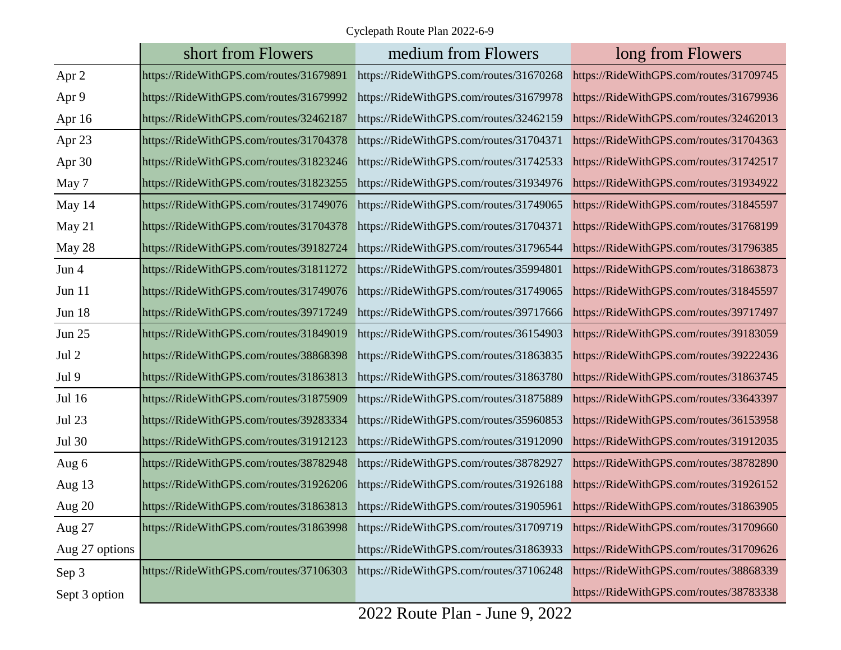Cyclepath Route Plan 2022-6-9

|                | short from Flowers                      | medium from Flowers                     | long from Flowers                       |
|----------------|-----------------------------------------|-----------------------------------------|-----------------------------------------|
| Apr 2          | https://RideWithGPS.com/routes/31679891 | https://RideWithGPS.com/routes/31670268 | https://RideWithGPS.com/routes/31709745 |
| Apr 9          | https://RideWithGPS.com/routes/31679992 | https://RideWithGPS.com/routes/31679978 | https://RideWithGPS.com/routes/31679936 |
| Apr 16         | https://RideWithGPS.com/routes/32462187 | https://RideWithGPS.com/routes/32462159 | https://RideWithGPS.com/routes/32462013 |
| Apr 23         | https://RideWithGPS.com/routes/31704378 | https://RideWithGPS.com/routes/31704371 | https://RideWithGPS.com/routes/31704363 |
| Apr 30         | https://RideWithGPS.com/routes/31823246 | https://RideWithGPS.com/routes/31742533 | https://RideWithGPS.com/routes/31742517 |
| May 7          | https://RideWithGPS.com/routes/31823255 | https://RideWithGPS.com/routes/31934976 | https://RideWithGPS.com/routes/31934922 |
| May 14         | https://RideWithGPS.com/routes/31749076 | https://RideWithGPS.com/routes/31749065 | https://RideWithGPS.com/routes/31845597 |
| May 21         | https://RideWithGPS.com/routes/31704378 | https://RideWithGPS.com/routes/31704371 | https://RideWithGPS.com/routes/31768199 |
| May 28         | https://RideWithGPS.com/routes/39182724 | https://RideWithGPS.com/routes/31796544 | https://RideWithGPS.com/routes/31796385 |
| Jun 4          | https://RideWithGPS.com/routes/31811272 | https://RideWithGPS.com/routes/35994801 | https://RideWithGPS.com/routes/31863873 |
| Jun 11         | https://RideWithGPS.com/routes/31749076 | https://RideWithGPS.com/routes/31749065 | https://RideWithGPS.com/routes/31845597 |
| <b>Jun 18</b>  | https://RideWithGPS.com/routes/39717249 | https://RideWithGPS.com/routes/39717666 | https://RideWithGPS.com/routes/39717497 |
| <b>Jun 25</b>  | https://RideWithGPS.com/routes/31849019 | https://RideWithGPS.com/routes/36154903 | https://RideWithGPS.com/routes/39183059 |
| Jul 2          | https://RideWithGPS.com/routes/38868398 | https://RideWithGPS.com/routes/31863835 | https://RideWithGPS.com/routes/39222436 |
| Jul 9          | https://RideWithGPS.com/routes/31863813 | https://RideWithGPS.com/routes/31863780 | https://RideWithGPS.com/routes/31863745 |
| Jul 16         | https://RideWithGPS.com/routes/31875909 | https://RideWithGPS.com/routes/31875889 | https://RideWithGPS.com/routes/33643397 |
| <b>Jul 23</b>  | https://RideWithGPS.com/routes/39283334 | https://RideWithGPS.com/routes/35960853 | https://RideWithGPS.com/routes/36153958 |
| <b>Jul 30</b>  | https://RideWithGPS.com/routes/31912123 | https://RideWithGPS.com/routes/31912090 | https://RideWithGPS.com/routes/31912035 |
| Aug 6          | https://RideWithGPS.com/routes/38782948 | https://RideWithGPS.com/routes/38782927 | https://RideWithGPS.com/routes/38782890 |
| Aug 13         | https://RideWithGPS.com/routes/31926206 | https://RideWithGPS.com/routes/31926188 | https://RideWithGPS.com/routes/31926152 |
| Aug 20         | https://RideWithGPS.com/routes/31863813 | https://RideWithGPS.com/routes/31905961 | https://RideWithGPS.com/routes/31863905 |
| Aug 27         | https://RideWithGPS.com/routes/31863998 | https://RideWithGPS.com/routes/31709719 | https://RideWithGPS.com/routes/31709660 |
| Aug 27 options |                                         | https://RideWithGPS.com/routes/31863933 | https://RideWithGPS.com/routes/31709626 |
| Sep 3          | https://RideWithGPS.com/routes/37106303 | https://RideWithGPS.com/routes/37106248 | https://RideWithGPS.com/routes/38868339 |
| Sept 3 option  |                                         |                                         | https://RideWithGPS.com/routes/38783338 |

2022 Route Plan - June 9, 2022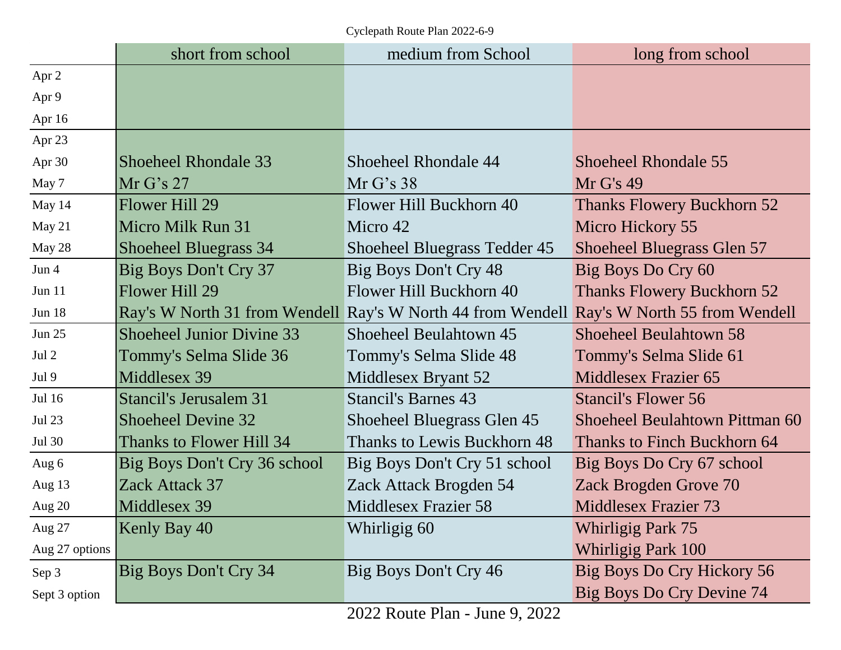Cyclepath Route Plan 2022-6-9

|                | short from school                | medium from School                                                                        | long from school                  |
|----------------|----------------------------------|-------------------------------------------------------------------------------------------|-----------------------------------|
| Apr 2          |                                  |                                                                                           |                                   |
| Apr 9          |                                  |                                                                                           |                                   |
| Apr 16         |                                  |                                                                                           |                                   |
| Apr 23         |                                  |                                                                                           |                                   |
| Apr 30         | Shoeheel Rhondale 33             | Shoeheel Rhondale 44                                                                      | Shoeheel Rhondale 55              |
| May 7          | Mr G's 27                        | Mr G's 38                                                                                 | Mr G's 49                         |
| May 14         | Flower Hill 29                   | Flower Hill Buckhorn 40                                                                   | <b>Thanks Flowery Buckhorn 52</b> |
| May 21         | Micro Milk Run 31                | Micro 42                                                                                  | Micro Hickory 55                  |
| May 28         | <b>Shoeheel Bluegrass 34</b>     | Shoeheel Bluegrass Tedder 45                                                              | Shoeheel Bluegrass Glen 57        |
| Jun 4          | Big Boys Don't Cry 37            | Big Boys Don't Cry 48                                                                     | Big Boys Do Cry 60                |
| Jun 11         | Flower Hill 29                   | Flower Hill Buckhorn 40                                                                   | <b>Thanks Flowery Buckhorn 52</b> |
| <b>Jun 18</b>  |                                  | Ray's W North 31 from Wendell Ray's W North 44 from Wendell Ray's W North 55 from Wendell |                                   |
| <b>Jun 25</b>  | <b>Shoeheel Junior Divine 33</b> | Shoeheel Beulahtown 45                                                                    | <b>Shoeheel Beulahtown 58</b>     |
| Jul 2          | Tommy's Selma Slide 36           | Tommy's Selma Slide 48                                                                    | Tommy's Selma Slide 61            |
| Jul 9          | Middlesex 39                     | Middlesex Bryant 52                                                                       | <b>Middlesex Frazier 65</b>       |
| Jul 16         | Stancil's Jerusalem 31           | <b>Stancil's Barnes 43</b>                                                                | <b>Stancil's Flower 56</b>        |
| <b>Jul 23</b>  | <b>Shoeheel Devine 32</b>        | <b>Shoeheel Bluegrass Glen 45</b>                                                         | Shoeheel Beulahtown Pittman 60    |
| Jul 30         | Thanks to Flower Hill 34         | Thanks to Lewis Buckhorn 48                                                               | Thanks to Finch Buckhorn 64       |
| Aug 6          | Big Boys Don't Cry 36 school     | Big Boys Don't Cry 51 school                                                              | Big Boys Do Cry 67 school         |
| Aug 13         | Zack Attack 37                   | Zack Attack Brogden 54                                                                    | Zack Brogden Grove 70             |
| Aug 20         | Middlesex 39                     | Middlesex Frazier 58                                                                      | <b>Middlesex Frazier 73</b>       |
| Aug 27         | Kenly Bay 40                     | Whirligig 60                                                                              | Whirligig Park 75                 |
| Aug 27 options |                                  |                                                                                           | Whirligig Park 100                |
| Sep 3          | Big Boys Don't Cry 34            | Big Boys Don't Cry 46                                                                     | Big Boys Do Cry Hickory 56        |
| Sept 3 option  |                                  |                                                                                           | Big Boys Do Cry Devine 74         |

2022 Route Plan - June 9, 2022